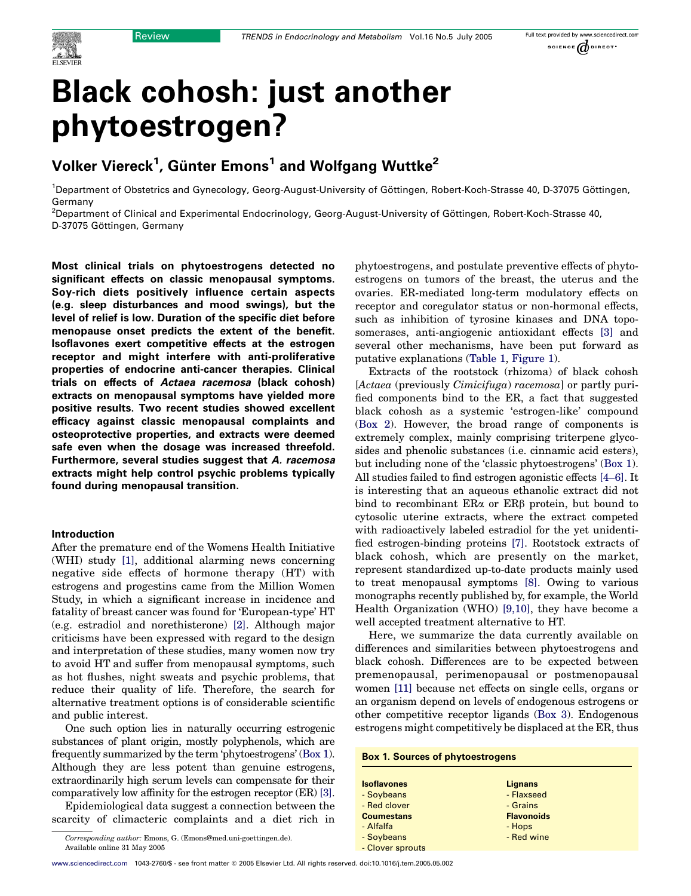

# Black cohosh: just another phytoestrogen?

# Volker Viereck $^{\mathsf{1}}$ , Günter Emons $^{\mathsf{1}}$  and Wolfgang Wuttke $^{\mathsf{2}}$

<sup>1</sup>Department of Obstetrics and Gynecology, Georg-August-University of Göttingen, Robert-Koch-Strasse 40, D-37075 Göttingen, Germany

<sup>2</sup>Department of Clinical and Experimental Endocrinology, Georg-August-University of Göttingen, Robert-Koch-Strasse 40, D-37075 Göttingen, Germany

Most clinical trials on phytoestrogens detected no significant effects on classic menopausal symptoms. Soy-rich diets positively influence certain aspects (e.g. sleep disturbances and mood swings), but the level of relief is low. Duration of the specific diet before menopause onset predicts the extent of the benefit. Isoflavones exert competitive effects at the estrogen receptor and might interfere with anti-proliferative properties of endocrine anti-cancer therapies. Clinical trials on effects of Actaea racemosa (black cohosh) extracts on menopausal symptoms have yielded more positive results. Two recent studies showed excellent efficacy against classic menopausal complaints and osteoprotective properties, and extracts were deemed safe even when the dosage was increased threefold. Furthermore, several studies suggest that A. racemosa extracts might help control psychic problems typically found during menopausal transition.

# Introduction

After the premature end of the Womens Health Initiative (WHI) study [\[1\]](#page-6-0), additional alarming news concerning negative side effects of hormone therapy (HT) with estrogens and progestins came from the Million Women Study, in which a significant increase in incidence and fatality of breast cancer was found for 'European-type' HT (e.g. estradiol and norethisterone) [\[2\]](#page-6-0). Although major criticisms have been expressed with regard to the design and interpretation of these studies, many women now try to avoid HT and suffer from menopausal symptoms, such as hot flushes, night sweats and psychic problems, that reduce their quality of life. Therefore, the search for alternative treatment options is of considerable scientific and public interest.

One such option lies in naturally occurring estrogenic substances of plant origin, mostly polyphenols, which are frequently summarized by the term 'phytoestrogens' (Box 1). Although they are less potent than genuine estrogens, extraordinarily high serum levels can compensate for their comparatively low affinity for the estrogen receptor (ER) [\[3\]](#page-6-0).

Epidemiological data suggest a connection between the scarcity of climacteric complaints and a diet rich in

Corresponding author: Emons, G. (Emons@med.uni-goettingen.de). Available online 31 May 2005

phytoestrogens, and postulate preventive effects of phytoestrogens on tumors of the breast, the uterus and the ovaries. ER-mediated long-term modulatory effects on receptor and coregulator status or non-hormonal effects, such as inhibition of tyrosine kinases and DNA toposomerases, anti-angiogenic antioxidant effects [\[3\]](#page-6-0) and several other mechanisms, have been put forward as putative explanations [\(Table 1](#page-1-0), [Figure 1\)](#page-1-0).

Extracts of the rootstock (rhizoma) of black cohosh [Actaea (previously Cimicifuga) racemosa] or partly purified components bind to the ER, a fact that suggested black cohosh as a systemic 'estrogen-like' compound (Box 2). However, the broad range of components is extremely complex, mainly comprising triterpene glycosides and phenolic substances (i.e. cinnamic acid esters), but including none of the 'classic phytoestrogens' (Box 1). All studies failed to find estrogen agonistic effects [\[4–6\]](#page-6-0). It is interesting that an aqueous ethanolic extract did not bind to recombinant  $ER\alpha$  or  $ER\beta$  protein, but bound to cytosolic uterine extracts, where the extract competed with radioactively labeled estradiol for the yet unidentified estrogen-binding proteins [\[7\].](#page-6-0) Rootstock extracts of black cohosh, which are presently on the market, represent standardized up-to-date products mainly used to treat menopausal symptoms [\[8\]](#page-6-0). Owing to various monographs recently published by, for example, the World Health Organization (WHO) [\[9,10\],](#page-6-0) they have become a well accepted treatment alternative to HT.

Here, we summarize the data currently available on differences and similarities between phytoestrogens and black cohosh. Differences are to be expected between premenopausal, perimenopausal or postmenopausal women [\[11\]](#page-6-0) because net effects on single cells, organs or an organism depend on levels of endogenous estrogens or other competitive receptor ligands (Box 3). Endogenous estrogens might competitively be displaced at the ER, thus

### Box 1. Sources of phytoestrogens

| <b>Isoflavones</b> | <b>Lignans</b>    |
|--------------------|-------------------|
| - Soybeans         | - Flaxseed        |
| - Red clover       | - Grains          |
| <b>Coumestans</b>  | <b>Flavonoids</b> |
| - Alfalfa          | - Hops            |
| - Soybeans         | - Red wine        |
| - Clover sprouts   |                   |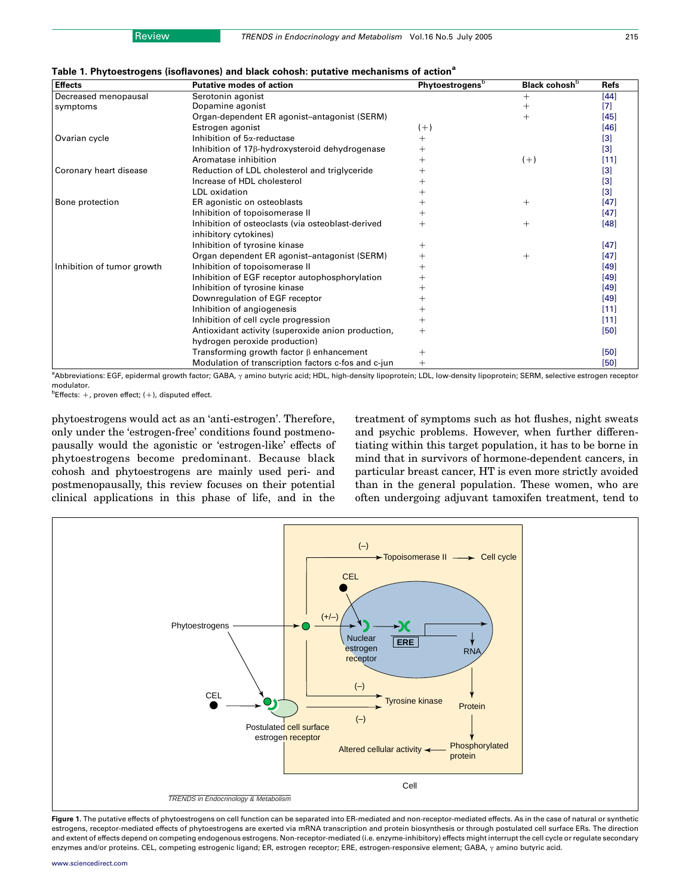<span id="page-1-0"></span>

| <b>Effects</b>             | <b>Putative modes of action</b>                             | <b>Phytoestrogens</b> b | Black cohosh <sup>b</sup> | <b>Refs</b>       |
|----------------------------|-------------------------------------------------------------|-------------------------|---------------------------|-------------------|
| Decreased menopausal       | Serotonin agonist                                           |                         | $^{+}$                    | $[44]$            |
| symptoms                   | Dopamine agonist                                            |                         | ┿                         | [7]               |
|                            | Organ-dependent ER agonist-antagonist (SERM)                |                         | $^{+}$                    | $[45]$            |
|                            | Estrogen agonist                                            | $(+)$                   |                           | $[46]$            |
| Ovarian cycle              | Inhibition of 5a-reductase                                  | $^{+}$                  |                           | [3]               |
|                            | Inhibition of 17 <sub>8</sub> -hydroxysteroid dehydrogenase |                         |                           | $[3]$             |
|                            | Aromatase inhibition                                        |                         | $(+)$                     | $[11]$            |
| Coronary heart disease     | Reduction of LDL cholesterol and triglyceride               |                         |                           | $[3]$             |
|                            | Increase of HDL cholesterol                                 |                         |                           | $\lceil 3 \rceil$ |
|                            | LDL oxidation                                               |                         |                           | $[3]$             |
| Bone protection            | ER agonistic on osteoblasts                                 |                         | $^{+}$                    | $[47]$            |
|                            | Inhibition of topoisomerase II                              |                         |                           | $[47]$            |
|                            | Inhibition of osteoclasts (via osteoblast-derived           |                         | $^{+}$                    | $[48]$            |
|                            | inhibitory cytokines)                                       |                         |                           |                   |
|                            | Inhibition of tyrosine kinase                               | $^+$                    |                           | $[47]$            |
|                            | Organ dependent ER agonist-antagonist (SERM)                | $\overline{+}$          | $^{+}$                    | $[47]$            |
| Inhibition of tumor growth | Inhibition of topoisomerase II                              |                         |                           | $[49]$            |
|                            | Inhibition of EGF receptor autophosphorylation              |                         |                           | $[49]$            |
|                            | Inhibition of tyrosine kinase                               |                         |                           | $[49]$            |
|                            | Downregulation of EGF receptor                              |                         |                           | $[49]$            |
|                            | Inhibition of angiogenesis                                  |                         |                           | $[11]$            |
|                            | Inhibition of cell cycle progression                        |                         |                           | $[11]$            |
|                            | Antioxidant activity (superoxide anion production,          | $^{+}$                  |                           | $[50]$            |
|                            | hydrogen peroxide production)                               |                         |                           |                   |
|                            | Transforming growth factor $\beta$ enhancement              | $^{+}$                  |                           | $[50]$            |
|                            | Modulation of transcription factors c-fos and c-jun         | $^{+}$                  |                           | $[50]$            |

a<br>Abbreviations: EGF, epidermal growth factor; GABA, y amino butyric acid; HDL, high-density lipoprotein; LDL, low-density lipoprotein; SERM, selective estrogen receptor modulator.

 $b$ Effects:  $+$ , proven effect;  $(+)$ , disputed effect.

phytoestrogens would act as an 'anti-estrogen'. Therefore, only under the 'estrogen-free' conditions found postmenopausally would the agonistic or 'estrogen-like' effects of phytoestrogens become predominant. Because black cohosh and phytoestrogens are mainly used peri- and postmenopausally, this review focuses on their potential clinical applications in this phase of life, and in the

treatment of symptoms such as hot flushes, night sweats and psychic problems. However, when further differentiating within this target population, it has to be borne in mind that in survivors of hormone-dependent cancers, in particular breast cancer, HT is even more strictly avoided than in the general population. These women, who are often undergoing adjuvant tamoxifen treatment, tend to



Figure 1. The putative effects of phytoestrogens on cell function can be separated into ER-mediated and non-receptor-mediated effects. As in the case of natural or synthetic estrogens, receptor-mediated effects of phytoestrogens are exerted via mRNA transcription and protein biosynthesis or through postulated cell surface ERs. The direction and extent of effects depend on competing endogenous estrogens. Non-receptor-mediated (i.e. enzyme-inhibitory) effects might interrupt the cell cycle or regulate secondary enzymes and/or proteins. CEL, competing estrogenic ligand; ER, estrogen receptor; ERE, estrogen-responsive element; GABA,  $\gamma$  amino butyric acid.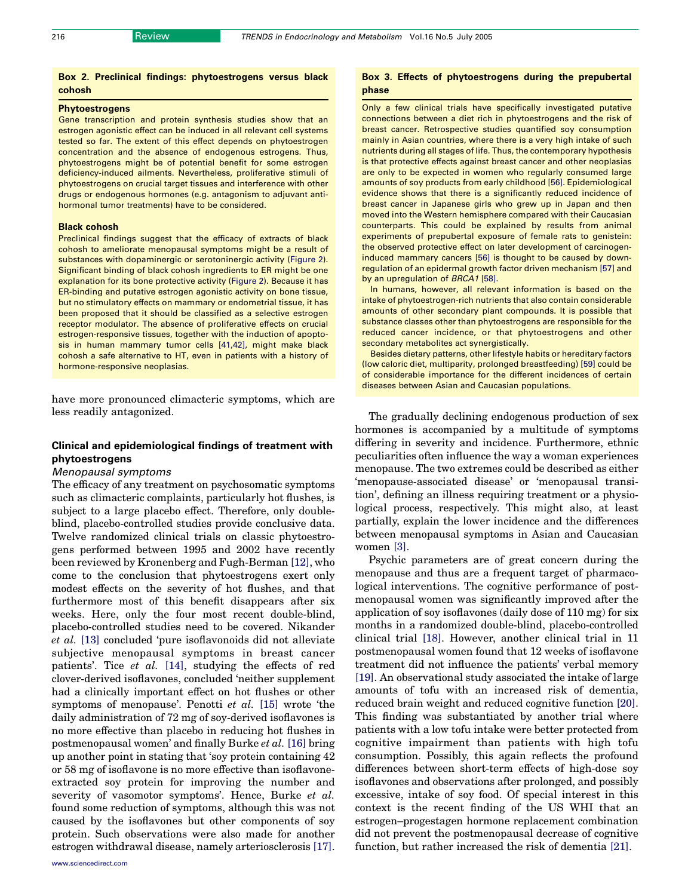# Box 2. Preclinical findings: phytoestrogens versus black cohosh

# Phytoestrogens

Gene transcription and protein synthesis studies show that an estrogen agonistic effect can be induced in all relevant cell systems tested so far. The extent of this effect depends on phytoestrogen concentration and the absence of endogenous estrogens. Thus, phytoestrogens might be of potential benefit for some estrogen deficiency-induced ailments. Nevertheless, proliferative stimuli of phytoestrogens on crucial target tissues and interference with other drugs or endogenous hormones (e.g. antagonism to adjuvant antihormonal tumor treatments) have to be considered.

### Black cohosh

Preclinical findings suggest that the efficacy of extracts of black cohosh to ameliorate menopausal symptoms might be a result of substances with dopaminergic or serotoninergic activity [\(Figure 2](#page-5-0)). Significant binding of black cohosh ingredients to ER might be one explanation for its bone protective activity [\(Figure 2\)](#page-5-0). Because it has ER-binding and putative estrogen agonistic activity on bone tissue, but no stimulatory effects on mammary or endometrial tissue, it has been proposed that it should be classified as a selective estrogen receptor modulator. The absence of proliferative effects on crucial estrogen-responsive tissues, together with the induction of apoptosis in human mammary tumor cells [\[41,42\]](#page-7-0), might make black cohosh a safe alternative to HT, even in patients with a history of hormone-responsive neoplasias.

have more pronounced climacteric symptoms, which are less readily antagonized.

# Clinical and epidemiological findings of treatment with phytoestrogens

### Menopausal symptoms

The efficacy of any treatment on psychosomatic symptoms such as climacteric complaints, particularly hot flushes, is subject to a large placebo effect. Therefore, only doubleblind, placebo-controlled studies provide conclusive data. Twelve randomized clinical trials on classic phytoestrogens performed between 1995 and 2002 have recently been reviewed by Kronenberg and Fugh-Berman [\[12\]](#page-6-0), who come to the conclusion that phytoestrogens exert only modest effects on the severity of hot flushes, and that furthermore most of this benefit disappears after six weeks. Here, only the four most recent double-blind, placebo-controlled studies need to be covered. Nikander et al. [\[13\]](#page-6-0) concluded 'pure isoflavonoids did not alleviate subjective menopausal symptoms in breast cancer patients'. Tice et al. [\[14\]](#page-6-0), studying the effects of red clover-derived isoflavones, concluded 'neither supplement had a clinically important effect on hot flushes or other symptoms of menopause'. Penotti et al. [\[15\]](#page-6-0) wrote 'the daily administration of 72 mg of soy-derived isoflavones is no more effective than placebo in reducing hot flushes in postmenopausal women' and finally Burke et al. [\[16\]](#page-6-0) bring up another point in stating that 'soy protein containing 42 or 58 mg of isoflavone is no more effective than isoflavoneextracted soy protein for improving the number and severity of vasomotor symptoms'. Hence, Burke et al. found some reduction of symptoms, although this was not caused by the isoflavones but other components of soy protein. Such observations were also made for another estrogen withdrawal disease, namely arteriosclerosis [\[17\]](#page-6-0).

# Box 3. Effects of phytoestrogens during the prepubertal phase

Only a few clinical trials have specifically investigated putative connections between a diet rich in phytoestrogens and the risk of breast cancer. Retrospective studies quantified soy consumption mainly in Asian countries, where there is a very high intake of such nutrients during all stages of life. Thus, the contemporary hypothesis is that protective effects against breast cancer and other neoplasias are only to be expected in women who regularly consumed large amounts of soy products from early childhood [\[56\].](#page-7-0) Epidemiological evidence shows that there is a significantly reduced incidence of breast cancer in Japanese girls who grew up in Japan and then moved into the Western hemisphere compared with their Caucasian counterparts. This could be explained by results from animal experiments of prepubertal exposure of female rats to genistein: the observed protective effect on later development of carcinogeninduced mammary cancers [\[56\]](#page-7-0) is thought to be caused by downregulation of an epidermal growth factor driven mechanism [\[57\]](#page-7-0) and by an upregulation of **BRCA1** [\[58\].](#page-7-0)

In humans, however, all relevant information is based on the intake of phytoestrogen-rich nutrients that also contain considerable amounts of other secondary plant compounds. It is possible that substance classes other than phytoestrogens are responsible for the reduced cancer incidence, or that phytoestrogens and other secondary metabolites act synergistically.

Besides dietary patterns, other lifestyle habits or hereditary factors (low caloric diet, multiparity, prolonged breastfeeding) [\[59\]](#page-7-0) could be of considerable importance for the different incidences of certain diseases between Asian and Caucasian populations.

The gradually declining endogenous production of sex hormones is accompanied by a multitude of symptoms differing in severity and incidence. Furthermore, ethnic peculiarities often influence the way a woman experiences menopause. The two extremes could be described as either 'menopause-associated disease' or 'menopausal transition', defining an illness requiring treatment or a physiological process, respectively. This might also, at least partially, explain the lower incidence and the differences between menopausal symptoms in Asian and Caucasian women [\[3\]](#page-6-0).

Psychic parameters are of great concern during the menopause and thus are a frequent target of pharmacological interventions. The cognitive performance of postmenopausal women was significantly improved after the application of soy isoflavones (daily dose of 110 mg) for six months in a randomized double-blind, placebo-controlled clinical trial [\[18\]](#page-6-0). However, another clinical trial in 11 postmenopausal women found that 12 weeks of isoflavone treatment did not influence the patients' verbal memory [\[19\].](#page-6-0) An observational study associated the intake of large amounts of tofu with an increased risk of dementia, reduced brain weight and reduced cognitive function [\[20\]](#page-6-0). This finding was substantiated by another trial where patients with a low tofu intake were better protected from cognitive impairment than patients with high tofu consumption. Possibly, this again reflects the profound differences between short-term effects of high-dose soy isoflavones and observations after prolonged, and possibly excessive, intake of soy food. Of special interest in this context is the recent finding of the US WHI that an estrogen–progestagen hormone replacement combination did not prevent the postmenopausal decrease of cognitive function, but rather increased the risk of dementia [\[21\]](#page-6-0).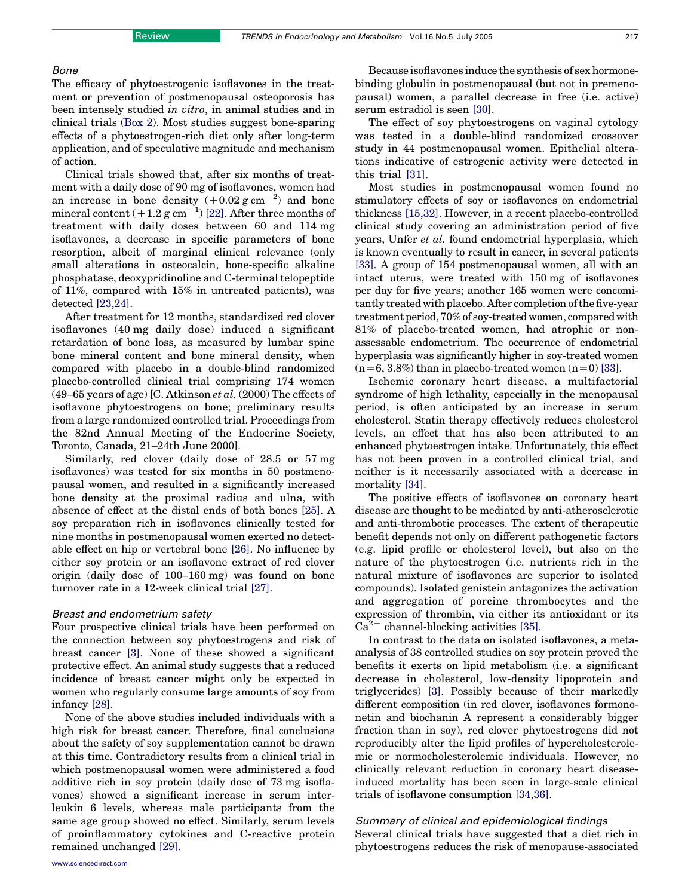### Bone

The efficacy of phytoestrogenic isoflavones in the treatment or prevention of postmenopausal osteoporosis has been intensely studied in vitro, in animal studies and in clinical trials (Box 2). Most studies suggest bone-sparing effects of a phytoestrogen-rich diet only after long-term application, and of speculative magnitude and mechanism of action.

Clinical trials showed that, after six months of treatment with a daily dose of 90 mg of isoflavones, women had an increase in bone density  $(+0.02 \text{ g cm}^{-2})$  and bone mineral content  $(+1.2~{\rm g~cm}^{-1})$  [\[22\].](#page-6-0) After three months of treatment with daily doses between 60 and 114 mg isoflavones, a decrease in specific parameters of bone resorption, albeit of marginal clinical relevance (only small alterations in osteocalcin, bone-specific alkaline phosphatase, deoxypridinoline and C-terminal telopeptide of 11%, compared with 15% in untreated patients), was detected [\[23,24\]](#page-6-0).

After treatment for 12 months, standardized red clover isoflavones (40 mg daily dose) induced a significant retardation of bone loss, as measured by lumbar spine bone mineral content and bone mineral density, when compared with placebo in a double-blind randomized placebo-controlled clinical trial comprising 174 women (49–65 years of age) [C. Atkinson et al.  $(2000)$  The effects of isoflavone phytoestrogens on bone; preliminary results from a large randomized controlled trial. Proceedings from the 82nd Annual Meeting of the Endocrine Society, Toronto, Canada, 21–24th June 2000].

Similarly, red clover (daily dose of 28.5 or 57 mg isoflavones) was tested for six months in 50 postmenopausal women, and resulted in a significantly increased bone density at the proximal radius and ulna, with absence of effect at the distal ends of both bones [\[25\].](#page-6-0) A soy preparation rich in isoflavones clinically tested for nine months in postmenopausal women exerted no detectable effect on hip or vertebral bone [\[26\].](#page-6-0) No influence by either soy protein or an isoflavone extract of red clover origin (daily dose of 100–160 mg) was found on bone turnover rate in a 12-week clinical trial [\[27\]](#page-6-0).

### Breast and endometrium safety

Four prospective clinical trials have been performed on the connection between soy phytoestrogens and risk of breast cancer [\[3\]](#page-6-0). None of these showed a significant protective effect. An animal study suggests that a reduced incidence of breast cancer might only be expected in women who regularly consume large amounts of soy from infancy [\[28\].](#page-6-0)

None of the above studies included individuals with a high risk for breast cancer. Therefore, final conclusions about the safety of soy supplementation cannot be drawn at this time. Contradictory results from a clinical trial in which postmenopausal women were administered a food additive rich in soy protein (daily dose of 73 mg isoflavones) showed a significant increase in serum interleukin 6 levels, whereas male participants from the same age group showed no effect. Similarly, serum levels of proinflammatory cytokines and C-reactive protein remained unchanged [\[29\].](#page-6-0)

Because isoflavones induce the synthesis of sex hormonebinding globulin in postmenopausal (but not in premenopausal) women, a parallel decrease in free (i.e. active) serum estradiol is seen [\[30\].](#page-6-0)

The effect of soy phytoestrogens on vaginal cytology was tested in a double-blind randomized crossover study in 44 postmenopausal women. Epithelial alterations indicative of estrogenic activity were detected in this trial [\[31\]](#page-6-0).

Most studies in postmenopausal women found no stimulatory effects of soy or isoflavones on endometrial thickness [\[15,32\].](#page-6-0) However, in a recent placebo-controlled clinical study covering an administration period of five years, Unfer et al. found endometrial hyperplasia, which is known eventually to result in cancer, in several patients [\[33\]](#page-6-0). A group of 154 postmenopausal women, all with an intact uterus, were treated with 150 mg of isoflavones per day for five years; another 165 women were concomitantly treated with placebo. After completion of the five-year treatment period, 70% of soy-treated women, compared with 81% of placebo-treated women, had atrophic or nonassessable endometrium. The occurrence of endometrial hyperplasia was significantly higher in soy-treated women  $(n=6, 3.8%)$  than in placebo-treated women  $(n=0)$  [\[33\].](#page-6-0)

Ischemic coronary heart disease, a multifactorial syndrome of high lethality, especially in the menopausal period, is often anticipated by an increase in serum cholesterol. Statin therapy effectively reduces cholesterol levels, an effect that has also been attributed to an enhanced phytoestrogen intake. Unfortunately, this effect has not been proven in a controlled clinical trial, and neither is it necessarily associated with a decrease in mortality [\[34\]](#page-6-0).

The positive effects of isoflavones on coronary heart disease are thought to be mediated by anti-atherosclerotic and anti-thrombotic processes. The extent of therapeutic benefit depends not only on different pathogenetic factors (e.g. lipid profile or cholesterol level), but also on the nature of the phytoestrogen (i.e. nutrients rich in the natural mixture of isoflavones are superior to isolated compounds). Isolated genistein antagonizes the activation and aggregation of porcine thrombocytes and the expression of thrombin, via either its antioxidant or its  $Ca<sup>2+</sup> channel-blocking activities [35].$  $Ca<sup>2+</sup> channel-blocking activities [35].$  $Ca<sup>2+</sup> channel-blocking activities [35].$ 

In contrast to the data on isolated isoflavones, a metaanalysis of 38 controlled studies on soy protein proved the benefits it exerts on lipid metabolism (i.e. a significant decrease in cholesterol, low-density lipoprotein and triglycerides) [\[3\].](#page-6-0) Possibly because of their markedly different composition (in red clover, isoflavones formononetin and biochanin A represent a considerably bigger fraction than in soy), red clover phytoestrogens did not reproducibly alter the lipid profiles of hypercholesterolemic or normocholesterolemic individuals. However, no clinically relevant reduction in coronary heart diseaseinduced mortality has been seen in large-scale clinical trials of isoflavone consumption [\[34,36\].](#page-6-0)

# Summary of clinical and epidemiological findings

Several clinical trials have suggested that a diet rich in phytoestrogens reduces the risk of menopause-associated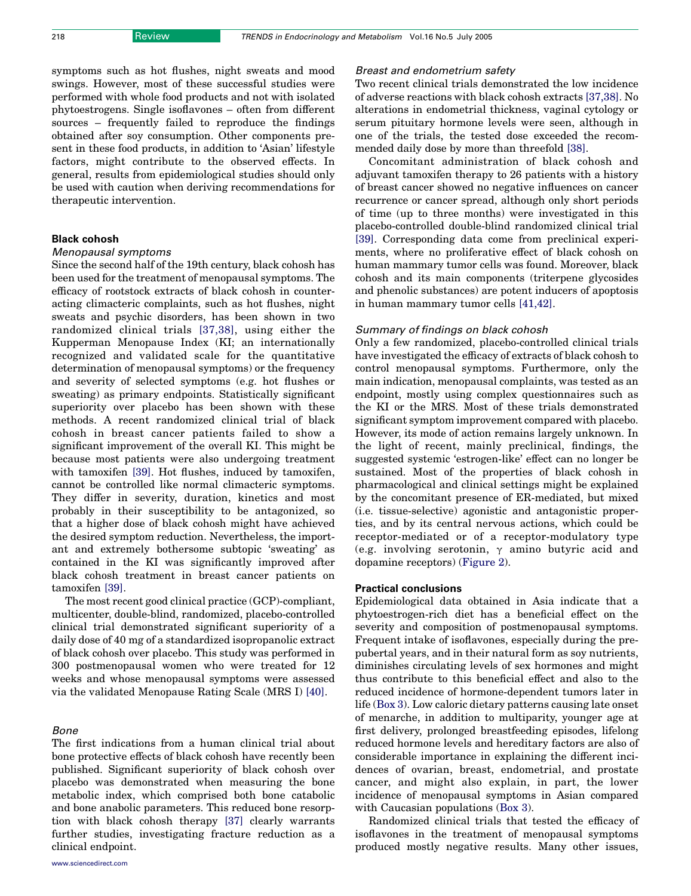symptoms such as hot flushes, night sweats and mood swings. However, most of these successful studies were performed with whole food products and not with isolated phytoestrogens. Single isoflavones – often from different sources – frequently failed to reproduce the findings obtained after soy consumption. Other components present in these food products, in addition to 'Asian' lifestyle factors, might contribute to the observed effects. In general, results from epidemiological studies should only be used with caution when deriving recommendations for therapeutic intervention.

# Black cohosh

### Menopausal symptoms

Since the second half of the 19th century, black cohosh has been used for the treatment of menopausal symptoms. The efficacy of rootstock extracts of black cohosh in counteracting climacteric complaints, such as hot flushes, night sweats and psychic disorders, has been shown in two randomized clinical trials [\[37,38\],](#page-6-0) using either the Kupperman Menopause Index (KI; an internationally recognized and validated scale for the quantitative determination of menopausal symptoms) or the frequency and severity of selected symptoms (e.g. hot flushes or sweating) as primary endpoints. Statistically significant superiority over placebo has been shown with these methods. A recent randomized clinical trial of black cohosh in breast cancer patients failed to show a significant improvement of the overall KI. This might be because most patients were also undergoing treatment with tamoxifen [\[39\].](#page-7-0) Hot flushes, induced by tamoxifen, cannot be controlled like normal climacteric symptoms. They differ in severity, duration, kinetics and most probably in their susceptibility to be antagonized, so that a higher dose of black cohosh might have achieved the desired symptom reduction. Nevertheless, the important and extremely bothersome subtopic 'sweating' as contained in the KI was significantly improved after black cohosh treatment in breast cancer patients on tamoxifen [\[39\]](#page-7-0).

The most recent good clinical practice (GCP)-compliant, multicenter, double-blind, randomized, placebo-controlled clinical trial demonstrated significant superiority of a daily dose of 40 mg of a standardized isopropanolic extract of black cohosh over placebo. This study was performed in 300 postmenopausal women who were treated for 12 weeks and whose menopausal symptoms were assessed via the validated Menopause Rating Scale (MRS I) [\[40\].](#page-7-0)

### Bone

The first indications from a human clinical trial about bone protective effects of black cohosh have recently been published. Significant superiority of black cohosh over placebo was demonstrated when measuring the bone metabolic index, which comprised both bone catabolic and bone anabolic parameters. This reduced bone resorption with black cohosh therapy [\[37\]](#page-6-0) clearly warrants further studies, investigating fracture reduction as a clinical endpoint.

### Breast and endometrium safety

Two recent clinical trials demonstrated the low incidence of adverse reactions with black cohosh extracts [\[37,38\].](#page-6-0) No alterations in endometrial thickness, vaginal cytology or serum pituitary hormone levels were seen, although in one of the trials, the tested dose exceeded the recommended daily dose by more than threefold [\[38\]](#page-6-0).

Concomitant administration of black cohosh and adjuvant tamoxifen therapy to 26 patients with a history of breast cancer showed no negative influences on cancer recurrence or cancer spread, although only short periods of time (up to three months) were investigated in this placebo-controlled double-blind randomized clinical trial [\[39\].](#page-7-0) Corresponding data come from preclinical experiments, where no proliferative effect of black cohosh on human mammary tumor cells was found. Moreover, black cohosh and its main components (triterpene glycosides and phenolic substances) are potent inducers of apoptosis in human mammary tumor cells [\[41,42\].](#page-7-0)

### Summary of findings on black cohosh

Only a few randomized, placebo-controlled clinical trials have investigated the efficacy of extracts of black cohosh to control menopausal symptoms. Furthermore, only the main indication, menopausal complaints, was tested as an endpoint, mostly using complex questionnaires such as the KI or the MRS. Most of these trials demonstrated significant symptom improvement compared with placebo. However, its mode of action remains largely unknown. In the light of recent, mainly preclinical, findings, the suggested systemic 'estrogen-like' effect can no longer be sustained. Most of the properties of black cohosh in pharmacological and clinical settings might be explained by the concomitant presence of ER-mediated, but mixed (i.e. tissue-selective) agonistic and antagonistic properties, and by its central nervous actions, which could be receptor-mediated or of a receptor-modulatory type (e.g. involving serotonin,  $\gamma$  amino butyric acid and dopamine receptors) ([Figure 2](#page-5-0)).

### Practical conclusions

Epidemiological data obtained in Asia indicate that a phytoestrogen-rich diet has a beneficial effect on the severity and composition of postmenopausal symptoms. Frequent intake of isoflavones, especially during the prepubertal years, and in their natural form as soy nutrients, diminishes circulating levels of sex hormones and might thus contribute to this beneficial effect and also to the reduced incidence of hormone-dependent tumors later in life (Box 3). Low caloric dietary patterns causing late onset of menarche, in addition to multiparity, younger age at first delivery, prolonged breastfeeding episodes, lifelong reduced hormone levels and hereditary factors are also of considerable importance in explaining the different incidences of ovarian, breast, endometrial, and prostate cancer, and might also explain, in part, the lower incidence of menopausal symptoms in Asian compared with Caucasian populations (Box 3).

Randomized clinical trials that tested the efficacy of isoflavones in the treatment of menopausal symptoms produced mostly negative results. Many other issues,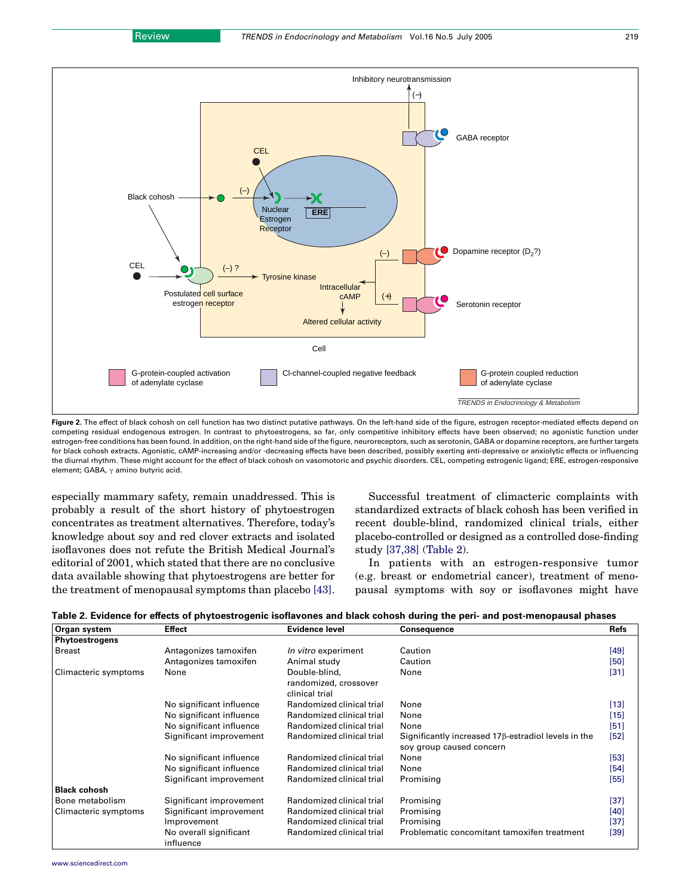<span id="page-5-0"></span>

Figure 2. The effect of black cohosh on cell function has two distinct putative pathways. On the left-hand side of the figure, estrogen receptor-mediated effects depend on competing residual endogenous estrogen. In contrast to phytoestrogens, so far, only competitive inhibitory effects have been observed; no agonistic function under estrogen-free conditions has been found. In addition, on the right-hand side of the figure, neuroreceptors, such as serotonin, GABA or dopamine receptors, are further targets for black cohosh extracts. Agonistic, cAMP-increasing and/or -decreasing effects have been described, possibly exerting anti-depressive or anxiolytic effects or influencing the diurnal rhythm. These might account for the effect of black cohosh on vasomotoric and psychic disorders. CEL, competing estrogenic ligand; ERE, estrogen-responsive element; GABA,  $\gamma$  amino butyric acid.

especially mammary safety, remain unaddressed. This is probably a result of the short history of phytoestrogen concentrates as treatment alternatives. Therefore, today's knowledge about soy and red clover extracts and isolated isoflavones does not refute the British Medical Journal's editorial of 2001, which stated that there are no conclusive data available showing that phytoestrogens are better for the treatment of menopausal symptoms than placebo [\[43\]](#page-7-0).

Successful treatment of climacteric complaints with standardized extracts of black cohosh has been verified in recent double-blind, randomized clinical trials, either placebo-controlled or designed as a controlled dose-finding study [\[37,38\]](#page-6-0) (Table 2).

In patients with an estrogen-responsive tumor (e.g. breast or endometrial cancer), treatment of menopausal symptoms with soy or isoflavones might have

| Table 2. Evidence for effects of phytoestrogenic isoflavones and black cohosh during the peri- and post-menopausal phases |  |  |  |
|---------------------------------------------------------------------------------------------------------------------------|--|--|--|
|---------------------------------------------------------------------------------------------------------------------------|--|--|--|

| Organ system          | <b>Effect</b>            | Evidence level            | <b>Consequence</b>                                         | <b>Refs</b> |
|-----------------------|--------------------------|---------------------------|------------------------------------------------------------|-------------|
| <b>Phytoestrogens</b> |                          |                           |                                                            |             |
| <b>Breast</b>         | Antagonizes tamoxifen    | In vitro experiment       | Caution                                                    | [49]        |
|                       | Antagonizes tamoxifen    | Animal study              | Caution                                                    | [50]        |
| Climacteric symptoms  | None                     | Double-blind,             | None                                                       | $[31]$      |
|                       |                          | randomized, crossover     |                                                            |             |
|                       |                          | clinical trial            |                                                            |             |
|                       | No significant influence | Randomized clinical trial | None                                                       | $[13]$      |
|                       | No significant influence | Randomized clinical trial | None                                                       | $[15]$      |
|                       | No significant influence | Randomized clinical trial | None                                                       | [51]        |
|                       | Significant improvement  | Randomized clinical trial | Significantly increased $17\beta$ -estradiol levels in the | $[52]$      |
|                       |                          |                           | soy group caused concern                                   |             |
|                       | No significant influence | Randomized clinical trial | None                                                       | [53]        |
|                       | No significant influence | Randomized clinical trial | None                                                       | [54]        |
|                       | Significant improvement  | Randomized clinical trial | Promising                                                  | [55]        |
| <b>Black cohosh</b>   |                          |                           |                                                            |             |
| Bone metabolism       | Significant improvement  | Randomized clinical trial | Promising                                                  | $[37]$      |
| Climacteric symptoms  | Significant improvement  | Randomized clinical trial | Promising                                                  | $[40]$      |
|                       | Improvement              | Randomized clinical trial | Promising                                                  | $[37]$      |
|                       | No overall significant   | Randomized clinical trial | Problematic concomitant tamoxifen treatment                | $[39]$      |
|                       | influence                |                           |                                                            |             |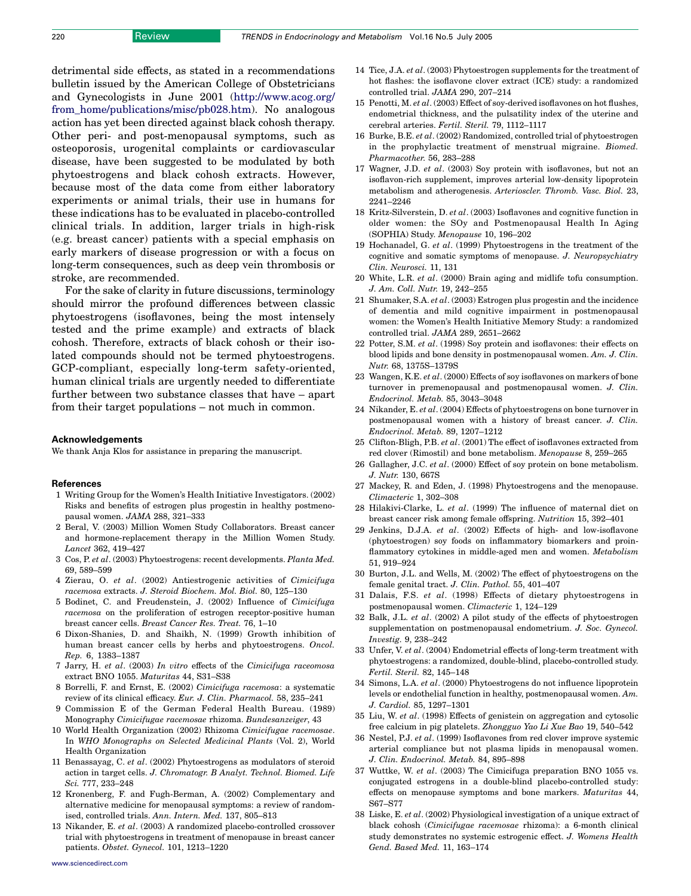<span id="page-6-0"></span>detrimental side effects, as stated in a recommendations bulletin issued by the American College of Obstetricians and Gynecologists in June 2001 [\(http://www.acog.org/](http://www.acog.org/from_home/publications/misc/pb028.htm) [from\\_home/publications/misc/pb028.htm\)](http://www.acog.org/from_home/publications/misc/pb028.htm). No analogous action has yet been directed against black cohosh therapy. Other peri- and post-menopausal symptoms, such as osteoporosis, urogenital complaints or cardiovascular disease, have been suggested to be modulated by both phytoestrogens and black cohosh extracts. However, because most of the data come from either laboratory experiments or animal trials, their use in humans for these indications has to be evaluated in placebo-controlled clinical trials. In addition, larger trials in high-risk (e.g. breast cancer) patients with a special emphasis on early markers of disease progression or with a focus on long-term consequences, such as deep vein thrombosis or stroke, are recommended.

For the sake of clarity in future discussions, terminology should mirror the profound differences between classic phytoestrogens (isoflavones, being the most intensely tested and the prime example) and extracts of black cohosh. Therefore, extracts of black cohosh or their isolated compounds should not be termed phytoestrogens. GCP-compliant, especially long-term safety-oriented, human clinical trials are urgently needed to differentiate further between two substance classes that have – apart from their target populations – not much in common.

#### Acknowledgements

We thank Anja Klos for assistance in preparing the manuscript.

### **References**

- 1 Writing Group for the Women's Health Initiative Investigators. (2002) Risks and benefits of estrogen plus progestin in healthy postmenopausal women. JAMA 288, 321–333
- 2 Beral, V. (2003) Million Women Study Collaborators. Breast cancer and hormone-replacement therapy in the Million Women Study. Lancet 362, 419–427
- 3 Cos, P. et al. (2003) Phytoestrogens: recent developments. Planta Med. 69, 589–599
- 4 Zierau, O. et al. (2002) Antiestrogenic activities of Cimicifuga racemosa extracts. J. Steroid Biochem. Mol. Biol. 80, 125–130
- 5 Bodinet, C. and Freudenstein, J. (2002) Influence of Cimicifuga racemosa on the proliferation of estrogen receptor-positive human breast cancer cells. Breast Cancer Res. Treat. 76, 1–10
- 6 Dixon-Shanies, D. and Shaikh, N. (1999) Growth inhibition of human breast cancer cells by herbs and phytoestrogens. Oncol. Rep. 6, 1383–1387
- 7 Jarry, H. et al. (2003) In vitro effects of the Cimicifuga raceomosa extract BNO 1055. Maturitas 44, S31–S38
- 8 Borrelli, F. and Ernst, E. (2002) Cimicifuga racemosa: a systematic review of its clinical efficacy. Eur. J. Clin. Pharmacol. 58, 235–241
- 9 Commission E of the German Federal Health Bureau. (1989) Monography Cimicifugae racemosae rhizoma. Bundesanzeiger, 43
- 10 World Health Organization (2002) Rhizoma Cimicifugae racemosae. In WHO Monographs on Selected Medicinal Plants (Vol. 2), World Health Organization
- 11 Benassayag, C. et al. (2002) Phytoestrogens as modulators of steroid action in target cells. J. Chromatogr. B Analyt. Technol. Biomed. Life Sci. 777, 233–248
- 12 Kronenberg, F. and Fugh-Berman, A. (2002) Complementary and alternative medicine for menopausal symptoms: a review of randomised, controlled trials. Ann. Intern. Med. 137, 805–813
- 13 Nikander, E. et al. (2003) A randomized placebo-controlled crossover trial with phytoestrogens in treatment of menopause in breast cancer patients. Obstet. Gynecol. 101, 1213–1220
- 14 Tice, J.A. et al. (2003) Phytoestrogen supplements for the treatment of hot flashes: the isoflavone clover extract (ICE) study: a randomized controlled trial. JAMA 290, 207–214
- 15 Penotti, M. et al. (2003) Effect of soy-derived isoflavones on hot flushes, endometrial thickness, and the pulsatility index of the uterine and cerebral arteries. Fertil. Steril. 79, 1112–1117
- 16 Burke, B.E. et al. (2002) Randomized, controlled trial of phytoestrogen in the prophylactic treatment of menstrual migraine. Biomed. Pharmacother. 56, 283–288
- 17 Wagner, J.D. et al. (2003) Soy protein with isoflavones, but not an isoflavon-rich supplement, improves arterial low-density lipoprotein metabolism and atherogenesis. Arterioscler. Thromb. Vasc. Biol. 23, 2241–2246
- 18 Kritz-Silverstein, D. et al. (2003) Isoflavones and cognitive function in older women: the SOy and Postmenopausal Health In Aging (SOPHIA) Study. Menopause 10, 196–202
- 19 Hochanadel, G. et al. (1999) Phytoestrogens in the treatment of the cognitive and somatic symptoms of menopause. J. Neuropsychiatry Clin. Neurosci. 11, 131
- 20 White, L.R. et al. (2000) Brain aging and midlife tofu consumption. J. Am. Coll. Nutr. 19, 242–255
- 21 Shumaker, S.A. et al. (2003) Estrogen plus progestin and the incidence of dementia and mild cognitive impairment in postmenopausal women: the Women's Health Initiative Memory Study: a randomized controlled trial. JAMA 289, 2651–2662
- 22 Potter, S.M. et al. (1998) Soy protein and isoflavones: their effects on blood lipids and bone density in postmenopausal women. Am. J. Clin. Nutr. 68, 1375S–1379S
- 23 Wangen, K.E. et al. (2000) Effects of soy isoflavones on markers of bone turnover in premenopausal and postmenopausal women. J. Clin. Endocrinol. Metab. 85, 3043–3048
- 24 Nikander, E. et al. (2004) Effects of phytoestrogens on bone turnover in postmenopausal women with a history of breast cancer. J. Clin. Endocrinol. Metab. 89, 1207–1212
- 25 Clifton-Bligh, P.B. et al. (2001) The effect of isoflavones extracted from red clover (Rimostil) and bone metabolism. Menopause 8, 259–265
- 26 Gallagher, J.C. et al. (2000) Effect of soy protein on bone metabolism. J. Nutr. 130, 667S
- 27 Mackey, R. and Eden, J. (1998) Phytoestrogens and the menopause. Climacteric 1, 302–308
- 28 Hilakivi-Clarke, L. et al. (1999) The influence of maternal diet on breast cancer risk among female offspring. Nutrition 15, 392–401
- 29 Jenkins, D.J.A. et al. (2002) Effects of high- and low-isoflavone (phytoestrogen) soy foods on inflammatory biomarkers and proinflammatory cytokines in middle-aged men and women. Metabolism 51, 919–924
- 30 Burton, J.L. and Wells, M. (2002) The effect of phytoestrogens on the female genital tract. J. Clin. Pathol. 55, 401–407
- 31 Dalais, F.S. et al. (1998) Effects of dietary phytoestrogens in postmenopausal women. Climacteric 1, 124–129
- 32 Balk, J.L. et al. (2002) A pilot study of the effects of phytoestrogen supplementation on postmenopausal endometrium. J. Soc. Gynecol. Investig. 9, 238–242
- 33 Unfer, V. et al. (2004) Endometrial effects of long-term treatment with phytoestrogens: a randomized, double-blind, placebo-controlled study. Fertil. Steril. 82, 145–148
- 34 Simons, L.A. et al. (2000) Phytoestrogens do not influence lipoprotein levels or endothelial function in healthy, postmenopausal women. Am. J. Cardiol. 85, 1297–1301
- 35 Liu, W. et al. (1998) Effects of genistein on aggregation and cytosolic free calcium in pig platelets. Zhongguo Yao Li Xue Bao 19, 540–542
- 36 Nestel, P.J. et al. (1999) Isoflavones from red clover improve systemic arterial compliance but not plasma lipids in menopausal women. J. Clin. Endocrinol. Metab. 84, 895–898
- 37 Wuttke, W. et al. (2003) The Cimicifuga preparation BNO 1055 vs. conjugated estrogens in a double-blind placebo-controlled study: effects on menopause symptoms and bone markers. Maturitas 44, S67–S77
- 38 Liske, E. et al. (2002) Physiological investigation of a unique extract of black cohosh (Cimicifugae racemosae rhizoma): a 6-month clinical study demonstrates no systemic estrogenic effect. J. Womens Health Gend. Based Med. 11, 163–174